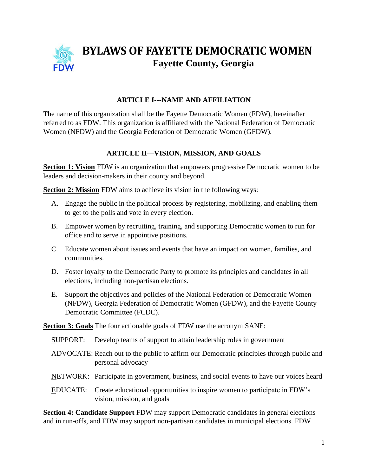

# **BYLAWS OF FAYETTE DEMOCRATIC WOMEN Fayette County, Georgia**

# **ARTICLE I---NAME AND AFFILIATION**

The name of this organization shall be the Fayette Democratic Women (FDW), hereinafter referred to as FDW. This organization is affiliated with the National Federation of Democratic Women (NFDW) and the Georgia Federation of Democratic Women (GFDW).

# **ARTICLE II—VISION, MISSION, AND GOALS**

**Section 1: Vision** FDW is an organization that empowers progressive Democratic women to be leaders and decision-makers in their county and beyond.

**Section 2: Mission** FDW aims to achieve its vision in the following ways:

- A. Engage the public in the political process by registering, mobilizing, and enabling them to get to the polls and vote in every election.
- B. Empower women by recruiting, training, and supporting Democratic women to run for office and to serve in appointive positions.
- C. Educate women about issues and events that have an impact on women, families, and communities.
- D. Foster loyalty to the Democratic Party to promote its principles and candidates in all elections, including non-partisan elections.
- E. Support the objectives and policies of the National Federation of Democratic Women (NFDW), Georgia Federation of Democratic Women (GFDW), and the Fayette County Democratic Committee (FCDC).

**Section 3: Goals** The four actionable goals of FDW use the acronym SANE:

- SUPPORT: Develop teams of support to attain leadership roles in government
- ADVOCATE: Reach out to the public to affirm our Democratic principles through public and personal advocacy
- NETWORK: Participate in government, business, and social events to have our voices heard
- EDUCATE: Create educational opportunities to inspire women to participate in FDW's vision, mission, and goals

**Section 4: Candidate Support** FDW may support Democratic candidates in general elections and in run-offs, and FDW may support non-partisan candidates in municipal elections. FDW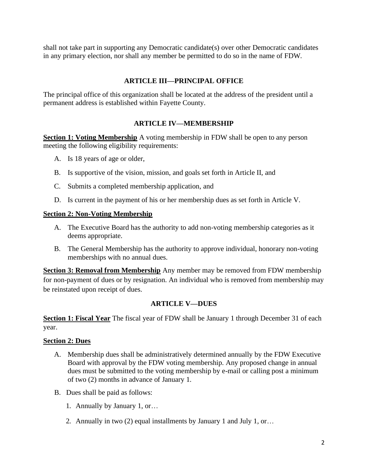shall not take part in supporting any Democratic candidate(s) over other Democratic candidates in any primary election, nor shall any member be permitted to do so in the name of FDW.

#### **ARTICLE III—PRINCIPAL OFFICE**

The principal office of this organization shall be located at the address of the president until a permanent address is established within Fayette County.

#### **ARTICLE IV—MEMBERSHIP**

**Section 1: Voting Membership** A voting membership in FDW shall be open to any person meeting the following eligibility requirements:

- A. Is 18 years of age or older,
- B. Is supportive of the vision, mission, and goals set forth in Article II, and
- C. Submits a completed membership application, and
- D. Is current in the payment of his or her membership dues as set forth in Article V.

#### **Section 2: Non-Voting Membership**

- A. The Executive Board has the authority to add non-voting membership categories as it deems appropriate.
- B. The General Membership has the authority to approve individual, honorary non-voting memberships with no annual dues.

**Section 3: Removal from Membership** Any member may be removed from FDW membership for non-payment of dues or by resignation. An individual who is removed from membership may be reinstated upon receipt of dues.

#### **ARTICLE V—DUES**

**Section 1: Fiscal Year** The fiscal year of FDW shall be January 1 through December 31 of each year.

#### **Section 2: Dues**

- A. Membership dues shall be administratively determined annually by the FDW Executive Board with approval by the FDW voting membership. Any proposed change in annual dues must be submitted to the voting membership by e-mail or calling post a minimum of two (2) months in advance of January 1.
- B. Dues shall be paid as follows:
	- 1. Annually by January 1, or…
	- 2. Annually in two (2) equal installments by January 1 and July 1, or…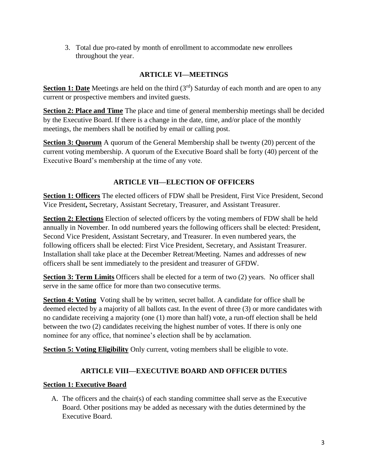3. Total due pro-rated by month of enrollment to accommodate new enrollees throughout the year.

# **ARTICLE VI—MEETINGS**

**Section 1: Date** Meetings are held on the third (3<sup>rd</sup>) Saturday of each month and are open to any current or prospective members and invited guests.

**Section 2: Place and Time** The place and time of general membership meetings shall be decided by the Executive Board. If there is a change in the date, time, and/or place of the monthly meetings, the members shall be notified by email or calling post.

**Section 3: Quorum** A quorum of the General Membership shall be twenty (20) percent of the current voting membership. A quorum of the Executive Board shall be forty (40) percent of the Executive Board's membership at the time of any vote.

# **ARTICLE VII—ELECTION OF OFFICERS**

**Section 1: Officers** The elected officers of FDW shall be President, First Vice President, Second Vice President**,** Secretary, Assistant Secretary, Treasurer, and Assistant Treasurer.

**Section 2: Elections** Election of selected officers by the voting members of FDW shall be held annually in November. In odd numbered years the following officers shall be elected: President, Second Vice President, Assistant Secretary, and Treasurer. In even numbered years, the following officers shall be elected: First Vice President, Secretary, and Assistant Treasurer. Installation shall take place at the December Retreat/Meeting. Names and addresses of new officers shall be sent immediately to the president and treasurer of GFDW.

**Section 3: Term Limits** Officers shall be elected for a term of two (2) years. No officer shall serve in the same office for more than two consecutive terms.

**Section 4: Voting** Voting shall be by written, secret ballot. A candidate for office shall be deemed elected by a majority of all ballots cast. In the event of three (3) or more candidates with no candidate receiving a majority (one (1) more than half) vote, a run-off election shall be held between the two (2) candidates receiving the highest number of votes. If there is only one nominee for any office, that nominee's election shall be by acclamation.

**Section 5: Voting Eligibility** Only current, voting members shall be eligible to vote.

# **ARTICLE VIII—EXECUTIVE BOARD AND OFFICER DUTIES**

## **Section 1: Executive Board**

A. The officers and the chair(s) of each standing committee shall serve as the Executive Board. Other positions may be added as necessary with the duties determined by the Executive Board.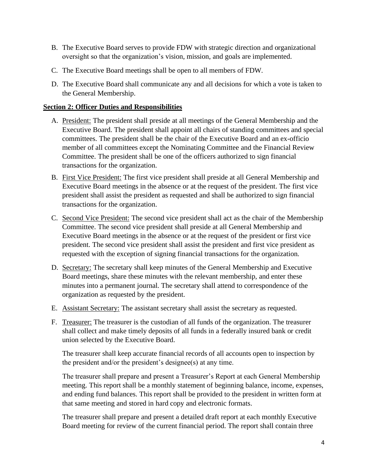- B. The Executive Board serves to provide FDW with strategic direction and organizational oversight so that the organization's vision, mission, and goals are implemented.
- C. The Executive Board meetings shall be open to all members of FDW.
- D. The Executive Board shall communicate any and all decisions for which a vote is taken to the General Membership.

## **Section 2: Officer Duties and Responsibilities**

- A. President: The president shall preside at all meetings of the General Membership and the Executive Board. The president shall appoint all chairs of standing committees and special committees. The president shall be the chair of the Executive Board and an ex-officio member of all committees except the Nominating Committee and the Financial Review Committee. The president shall be one of the officers authorized to sign financial transactions for the organization.
- B. First Vice President: The first vice president shall preside at all General Membership and Executive Board meetings in the absence or at the request of the president. The first vice president shall assist the president as requested and shall be authorized to sign financial transactions for the organization.
- C. Second Vice President: The second vice president shall act as the chair of the Membership Committee. The second vice president shall preside at all General Membership and Executive Board meetings in the absence or at the request of the president or first vice president. The second vice president shall assist the president and first vice president as requested with the exception of signing financial transactions for the organization.
- D. Secretary: The secretary shall keep minutes of the General Membership and Executive Board meetings, share these minutes with the relevant membership, and enter these minutes into a permanent journal. The secretary shall attend to correspondence of the organization as requested by the president.
- E. Assistant Secretary: The assistant secretary shall assist the secretary as requested.
- F. Treasurer: The treasurer is the custodian of all funds of the organization. The treasurer shall collect and make timely deposits of all funds in a federally insured bank or credit union selected by the Executive Board.

The treasurer shall keep accurate financial records of all accounts open to inspection by the president and/or the president's designee(s) at any time.

 The treasurer shall prepare and present a Treasurer's Report at each General Membership meeting. This report shall be a monthly statement of beginning balance, income, expenses, and ending fund balances. This report shall be provided to the president in written form at that same meeting and stored in hard copy and electronic formats.

The treasurer shall prepare and present a detailed draft report at each monthly Executive Board meeting for review of the current financial period. The report shall contain three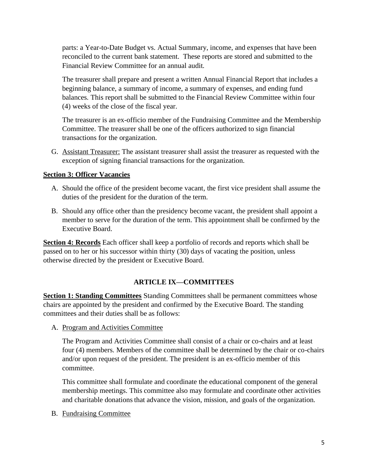parts: a Year-to-Date Budget vs. Actual Summary, income, and expenses that have been reconciled to the current bank statement. These reports are stored and submitted to the Financial Review Committee for an annual audit.

The treasurer shall prepare and present a written Annual Financial Report that includes a beginning balance, a summary of income, a summary of expenses, and ending fund balances. This report shall be submitted to the Financial Review Committee within four (4) weeks of the close of the fiscal year.

The treasurer is an ex-officio member of the Fundraising Committee and the Membership Committee. The treasurer shall be one of the officers authorized to sign financial transactions for the organization.

G. Assistant Treasurer: The assistant treasurer shall assist the treasurer as requested with the exception of signing financial transactions for the organization.

## **Section 3: Officer Vacancies**

- A. Should the office of the president become vacant, the first vice president shall assume the duties of the president for the duration of the term.
- B. Should any office other than the presidency become vacant, the president shall appoint a member to serve for the duration of the term. This appointment shall be confirmed by the Executive Board.

**Section 4: Records** Each officer shall keep a portfolio of records and reports which shall be passed on to her or his successor within thirty (30) days of vacating the position, unless otherwise directed by the president or Executive Board.

## **ARTICLE IX—COMMITTEES**

**Section 1: Standing Committees** Standing Committees shall be permanent committees whose chairs are appointed by the president and confirmed by the Executive Board. The standing committees and their duties shall be as follows:

A. Program and Activities Committee

The Program and Activities Committee shall consist of a chair or co-chairs and at least four (4) members. Members of the committee shall be determined by the chair or co-chairs and/or upon request of the president. The president is an ex-officio member of this committee.

This committee shall formulate and coordinate the educational component of the general membership meetings. This committee also may formulate and coordinate other activities and charitable donations that advance the vision, mission, and goals of the organization.

B. Fundraising Committee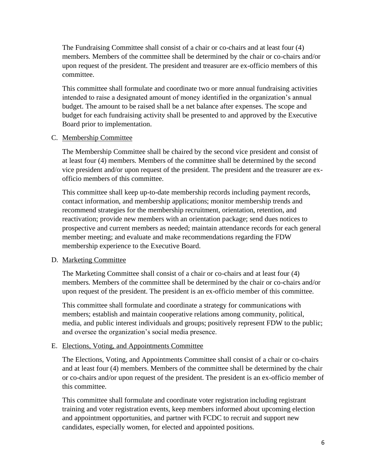The Fundraising Committee shall consist of a chair or co-chairs and at least four (4) members. Members of the committee shall be determined by the chair or co-chairs and/or upon request of the president. The president and treasurer are ex-officio members of this committee.

This committee shall formulate and coordinate two or more annual fundraising activities intended to raise a designated amount of money identified in the organization's annual budget. The amount to be raised shall be a net balance after expenses. The scope and budget for each fundraising activity shall be presented to and approved by the Executive Board prior to implementation.

#### C. Membership Committee

The Membership Committee shall be chaired by the second vice president and consist of at least four (4) members. Members of the committee shall be determined by the second vice president and/or upon request of the president. The president and the treasurer are exofficio members of this committee.

This committee shall keep up-to-date membership records including payment records, contact information, and membership applications; monitor membership trends and recommend strategies for the membership recruitment, orientation, retention, and reactivation; provide new members with an orientation package; send dues notices to prospective and current members as needed; maintain attendance records for each general member meeting; and evaluate and make recommendations regarding the FDW membership experience to the Executive Board.

## D. Marketing Committee

The Marketing Committee shall consist of a chair or co-chairs and at least four (4) members. Members of the committee shall be determined by the chair or co-chairs and/or upon request of the president. The president is an ex-officio member of this committee.

This committee shall formulate and coordinate a strategy for communications with members; establish and maintain cooperative relations among community, political, media, and public interest individuals and groups; positively represent FDW to the public; and oversee the organization's social media presence.

## E. Elections, Voting, and Appointments Committee

The Elections, Voting, and Appointments Committee shall consist of a chair or co-chairs and at least four (4) members. Members of the committee shall be determined by the chair or co-chairs and/or upon request of the president. The president is an ex-officio member of this committee.

This committee shall formulate and coordinate voter registration including registrant training and voter registration events, keep members informed about upcoming election and appointment opportunities, and partner with FCDC to recruit and support new candidates, especially women, for elected and appointed positions.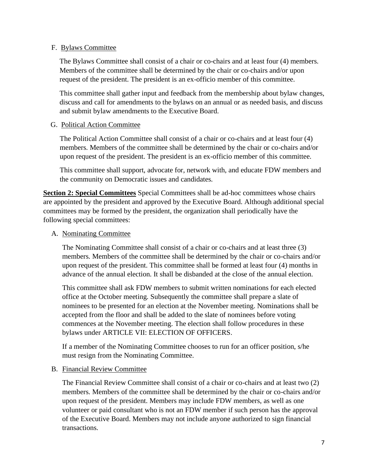#### F. Bylaws Committee

The Bylaws Committee shall consist of a chair or co-chairs and at least four (4) members. Members of the committee shall be determined by the chair or co-chairs and/or upon request of the president. The president is an ex-officio member of this committee.

This committee shall gather input and feedback from the membership about bylaw changes, discuss and call for amendments to the bylaws on an annual or as needed basis, and discuss and submit bylaw amendments to the Executive Board.

#### G. Political Action Committee

The Political Action Committee shall consist of a chair or co-chairs and at least four (4) members. Members of the committee shall be determined by the chair or co-chairs and/or upon request of the president. The president is an ex-officio member of this committee.

This committee shall support, advocate for, network with, and educate FDW members and the community on Democratic issues and candidates.

**Section 2: Special Committees** Special Committees shall be ad-hoc committees whose chairs are appointed by the president and approved by the Executive Board. Although additional special committees may be formed by the president, the organization shall periodically have the following special committees:

## A. Nominating Committee

The Nominating Committee shall consist of a chair or co-chairs and at least three (3) members. Members of the committee shall be determined by the chair or co-chairs and/or upon request of the president. This committee shall be formed at least four (4) months in advance of the annual election. It shall be disbanded at the close of the annual election.

This committee shall ask FDW members to submit written nominations for each elected office at the October meeting. Subsequently the committee shall prepare a slate of nominees to be presented for an election at the November meeting. Nominations shall be accepted from the floor and shall be added to the slate of nominees before voting commences at the November meeting. The election shall follow procedures in these bylaws under ARTICLE VII: ELECTION OF OFFICERS.

If a member of the Nominating Committee chooses to run for an officer position, s/he must resign from the Nominating Committee.

## B. Financial Review Committee

The Financial Review Committee shall consist of a chair or co-chairs and at least two (2) members. Members of the committee shall be determined by the chair or co-chairs and/or upon request of the president. Members may include FDW members, as well as one volunteer or paid consultant who is not an FDW member if such person has the approval of the Executive Board. Members may not include anyone authorized to sign financial transactions.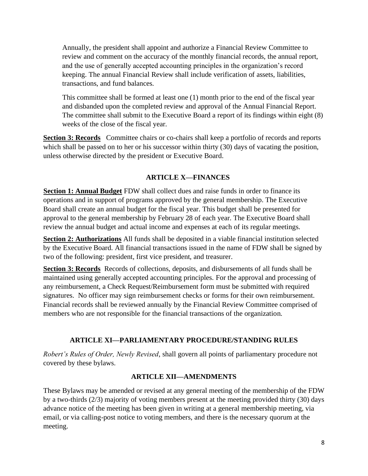Annually, the president shall appoint and authorize a Financial Review Committee to review and comment on the accuracy of the monthly financial records, the annual report, and the use of generally accepted accounting principles in the organization's record keeping. The annual Financial Review shall include verification of assets, liabilities, transactions, and fund balances.

 This committee shall be formed at least one (1) month prior to the end of the fiscal year and disbanded upon the completed review and approval of the Annual Financial Report. The committee shall submit to the Executive Board a report of its findings within eight (8) weeks of the close of the fiscal year.

**Section 3: Records** Committee chairs or co-chairs shall keep a portfolio of records and reports which shall be passed on to her or his successor within thirty (30) days of vacating the position, unless otherwise directed by the president or Executive Board.

# **ARTICLE X—FINANCES**

 **Section 1: Annual Budget** FDW shall collect dues and raise funds in order to finance its operations and in support of programs approved by the general membership. The Executive Board shall create an annual budget for the fiscal year. This budget shall be presented for approval to the general membership by February 28 of each year. The Executive Board shall review the annual budget and actual income and expenses at each of its regular meetings.

**Section 2: Authorizations** All funds shall be deposited in a viable financial institution selected by the Executive Board. All financial transactions issued in the name of FDW shall be signed by two of the following: president, first vice president, and treasurer.

**Section 3: Records** Records of collections, deposits, and disbursements of all funds shall be maintained using generally accepted accounting principles. For the approval and processing of any reimbursement, a Check Request/Reimbursement form must be submitted with required signatures. No officer may sign reimbursement checks or forms for their own reimbursement. Financial records shall be reviewed annually by the Financial Review Committee comprised of members who are not responsible for the financial transactions of the organization.

## **ARTICLE XI—PARLIAMENTARY PROCEDURE/STANDING RULES**

*Robert's Rules of Order, Newly Revised*, shall govern all points of parliamentary procedure not covered by these bylaws.

## **ARTICLE XII—AMENDMENTS**

These Bylaws may be amended or revised at any general meeting of the membership of the FDW by a two-thirds (2/3) majority of voting members present at the meeting provided thirty (30) days advance notice of the meeting has been given in writing at a general membership meeting, via email, or via calling-post notice to voting members, and there is the necessary quorum at the meeting.